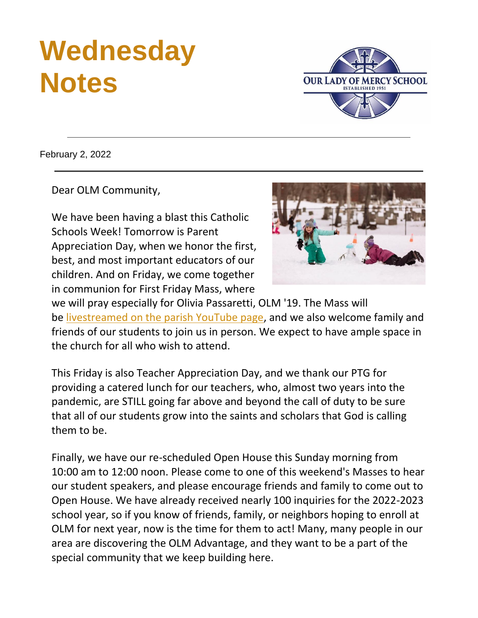# **Wednesday Notes**

**OUR LADY OF MERCY SCHOOL** 

February 2, 2022

Dear OLM Community,

We have been having a blast this Catholic Schools Week! Tomorrow is Parent Appreciation Day, when we honor the first, best, and most important educators of our children. And on Friday, we come together in communion for First Friday Mass, where



we will pray especially for Olivia Passaretti, OLM '19. The Mass will be [livestreamed on the parish YouTube page,](https://r20.rs6.net/tn.jsp?f=001GJ-PwpTfm2m8iwaSg9-Rzea7SVsDGohEmJJJUrL27S8aTRvTe0u1hKka8hiKFXSVme4G8rxty-J95_0acddBCDjuR-jsnIgCS2UAMTRrk0VtIEP8HyTU7oN3dOegQVCABdvERX_rp8L6FV9mXyDOl_Rcg0sBtq742fiVdCt0I8QnIo5lOWIrnNHbwKpKBKfI&c=&ch=) and we also welcome family and friends of our students to join us in person. We expect to have ample space in the church for all who wish to attend.

This Friday is also Teacher Appreciation Day, and we thank our PTG for providing a catered lunch for our teachers, who, almost two years into the pandemic, are STILL going far above and beyond the call of duty to be sure that all of our students grow into the saints and scholars that God is calling them to be.

Finally, we have our re-scheduled Open House this Sunday morning from 10:00 am to 12:00 noon. Please come to one of this weekend's Masses to hear our student speakers, and please encourage friends and family to come out to Open House. We have already received nearly 100 inquiries for the 2022-2023 school year, so if you know of friends, family, or neighbors hoping to enroll at OLM for next year, now is the time for them to act! Many, many people in our area are discovering the OLM Advantage, and they want to be a part of the special community that we keep building here.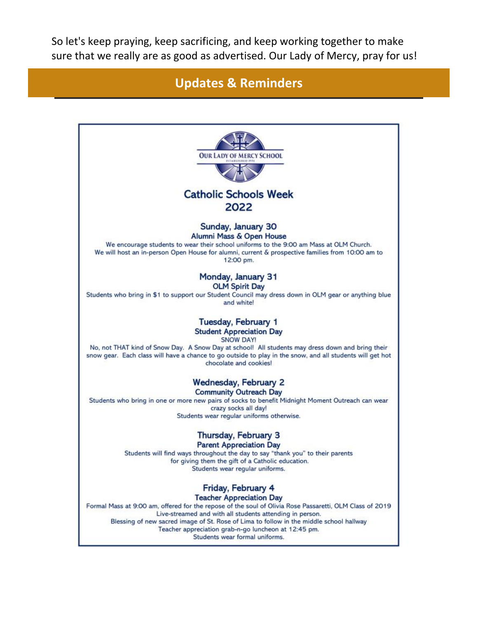So let's keep praying, keep sacrificing, and keep working together to make sure that we really are as good as advertised. Our Lady of Mercy, pray for us!

### **Updates & Reminders**

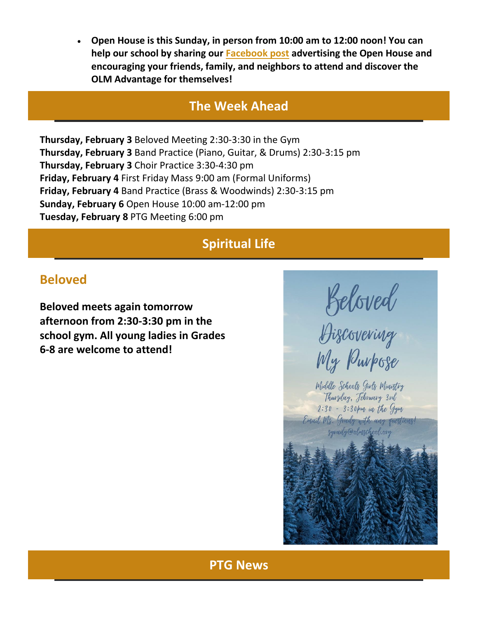• **Open House is this Sunday, in person from 10:00 am to 12:00 noon! You can help our school by sharing our [Facebook post](https://r20.rs6.net/tn.jsp?f=001GJ-PwpTfm2m8iwaSg9-Rzea7SVsDGohEmJJJUrL27S8aTRvTe0u1hL-54IXwW72n_jGkuJ6u-pjH1oUKVdjwMgqaUq9ZCqsYSzX19u5ixYyAjrosS7Rr0fuiHhVbd2LDAEa6EYdjnfrmna1wlPIfMe9h7rOYYfZ9&c=&ch=) advertising the Open House and encouraging your friends, family, and neighbors to attend and discover the OLM Advantage for themselves!**

### **The Week Ahead**

**Thursday, February 3** Beloved Meeting 2:30-3:30 in the Gym **Thursday, February 3** Band Practice (Piano, Guitar, & Drums) 2:30-3:15 pm **Thursday, February 3** Choir Practice 3:30-4:30 pm **Friday, February 4** First Friday Mass 9:00 am (Formal Uniforms) **Friday, February 4** Band Practice (Brass & Woodwinds) 2:30-3:15 pm **Sunday, February 6** Open House 10:00 am-12:00 pm **Tuesday, February 8** PTG Meeting 6:00 pm

# **Spiritual Life**

## **Beloved**

**Beloved meets again tomorrow afternoon from 2:30-3:30 pm in the school gym. All young ladies in Grades 6-8 are welcome to attend!**

Beloved<br>Biscovering<br>My Purpose

Middle Schools Givls Ministry Thursday, February 3rd  $2:30 - 3:30$  for in the Gym Email Ms. Grady with any questions! sgrady@olnschool.org

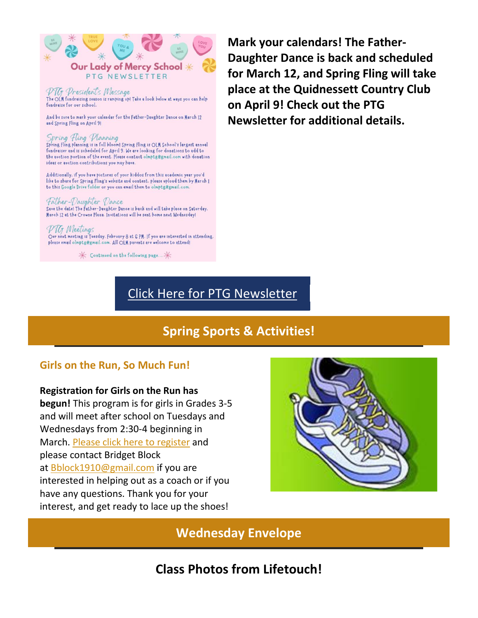

PTG President's Message The OLM fundraising season is ramping up! Take a look below at ways you can help fundraise for our school.

And be sure to mark your calendar for the Father-Daughter Dance on March 12 and Spring Fling on April 91

#### Spring Fling Planning

Spring Fling planning is in full bloom! Spring Fling is OLM School's largest annual fundraiser and is scheduled for April 9. We are looking for donations to add to the auction portion of the event. Please contact olmptg@gmail.com with donation ideas or auction contributions you may have.

Additionally. if you have pictures of your kiddos from this academic year you'd like to share for Spring Fling's website and content. please upload them by March 1 to this Google Drive folder or you can email them to olmptg@gmail.com.

#### Father-Daughter Dance

Save the date! The Father-Daughter Dance is back and will take place on Saturday. March 12 at the Crowne Plaza. Invitations will be sent home next Wednesday!

#### PTG Meetings

Our next meeting is Tuesday, February 8 at 6 PM. If you are interested in attending. please email olmptg@gmail.com. All OLM parents are welcome to attend!

 $\pmb{\times}$  Continued on the following page...  $\pmb{\times}$ 

**Mark your calendars! The Father-Daughter Dance is back and scheduled for March 12, and Spring Fling will take place at the Quidnessett Country Club on April 9! Check out the PTG Newsletter for additional details.**

### [Click Here for PTG Newsletter](https://r20.rs6.net/tn.jsp?f=001GJ-PwpTfm2m8iwaSg9-Rzea7SVsDGohEmJJJUrL27S8aTRvTe0u1hItCtE31vGfxBwh3aoI3KOZOyDqkUYGe6rWa1hZz0kErrFEcDxGP_SgoUbtz_YZ-5wRltKwhzy1PNvGr6HjEaFCDUv48nh2BKG3SPbq8H27F7kXzOQorfcuefr3rnmusb2EGBTtPGmhVAgTpDjDjvO8ehIf1aGapJVofTbmk6CGF53rCisC_U-c=&c=&ch=)

# **Spring Sports & Activities!**

#### **Girls on the Run, So Much Fun!**

#### **Registration for Girls on the Run has**

**begun!** This program is for girls in Grades 3-5 and will meet after school on Tuesdays and Wednesdays from 2:30-4 beginning in March. [Please click here to register](https://r20.rs6.net/tn.jsp?f=001GJ-PwpTfm2m8iwaSg9-Rzea7SVsDGohEmJJJUrL27S8aTRvTe0u1hItCtE31vGfxTz6DRqMFA1GetNF6pQL66eXWXh--qAUfrS4CqG-AEqflawIuCC8FAEHy9ByMknJHFpLXQHinKNRaq8eLGvIkz-kb-MKwD0_uFvyfXrDE9HXn44H6Yx_MZbgXzt4MdvwBvqXzrlR8jjRZzrp5WC1LXlx7-_AQnUnuHvfIMDSOuD6tN6uXlwgMJjie6bkksEpa&c=&ch=) and please contact Bridget Block at [Bblock1910@gmail.com](mailto:Bblock1910@gmail.com) if you are interested in helping out as a coach or if you have any questions. Thank you for your interest, and get ready to lace up the shoes!



**Wednesday Envelope**

**Class Photos from Lifetouch!**